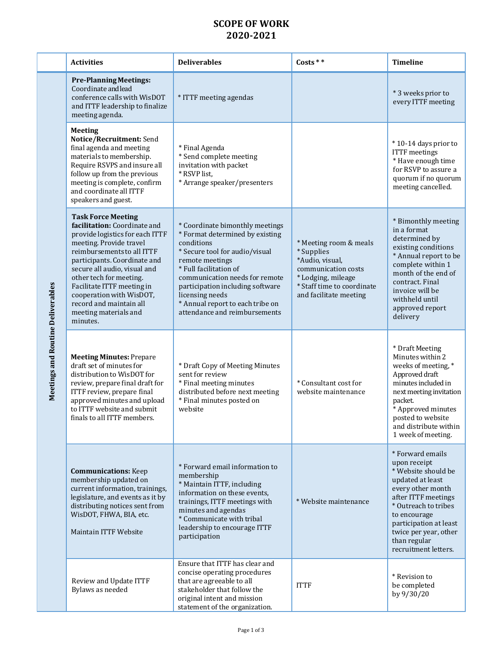## **SCOPE OF WORK 2020-2021**

| <b>Activities</b>                                                                                                                                                                                                                                                                                                                                                          | <b>Deliverables</b>                                                                                                                                                                                                                                                                                                           | Costs * *                                                                                                                                                    | <b>Timeline</b>                                                                                                                                                                                                                                            |
|----------------------------------------------------------------------------------------------------------------------------------------------------------------------------------------------------------------------------------------------------------------------------------------------------------------------------------------------------------------------------|-------------------------------------------------------------------------------------------------------------------------------------------------------------------------------------------------------------------------------------------------------------------------------------------------------------------------------|--------------------------------------------------------------------------------------------------------------------------------------------------------------|------------------------------------------------------------------------------------------------------------------------------------------------------------------------------------------------------------------------------------------------------------|
| <b>Pre-Planning Meetings:</b><br>Coordinate and lead<br>conference calls with WisDOT<br>and ITTF leadership to finalize<br>meeting agenda.                                                                                                                                                                                                                                 | * ITTF meeting agendas                                                                                                                                                                                                                                                                                                        |                                                                                                                                                              | * 3 weeks prior to<br>every ITTF meeting                                                                                                                                                                                                                   |
| <b>Meeting</b><br>Notice/Recruitment: Send<br>final agenda and meeting<br>materials to membership.<br>Require RSVPS and insure all<br>follow up from the previous<br>meeting is complete, confirm<br>and coordinate all ITTF<br>speakers and guest.                                                                                                                        | * Final Agenda<br>* Send complete meeting<br>invitation with packet<br>* RSVP list,<br>* Arrange speaker/presenters                                                                                                                                                                                                           |                                                                                                                                                              | *10-14 days prior to<br><b>ITTF</b> meetings<br>* Have enough time<br>for RSVP to assure a<br>quorum if no quorum<br>meeting cancelled.                                                                                                                    |
| <b>Task Force Meeting</b><br>facilitation: Coordinate and<br>provide logistics for each ITTF<br>meeting. Provide travel<br>reimbursements to all ITTF<br>participants. Coordinate and<br>secure all audio, visual and<br>other tech for meeting.<br>Facilitate ITTF meeting in<br>cooperation with WisDOT,<br>record and maintain all<br>meeting materials and<br>minutes. | * Coordinate bimonthly meetings<br>* Format determined by existing<br>conditions<br>* Secure tool for audio/visual<br>remote meetings<br>* Full facilitation of<br>communication needs for remote<br>participation including software<br>licensing needs<br>* Annual report to each tribe on<br>attendance and reimbursements | * Meeting room & meals<br>* Supplies<br>*Audio, visual,<br>communication costs<br>* Lodging, mileage<br>* Staff time to coordinate<br>and facilitate meeting | * Bimonthly meeting<br>in a format<br>determined by<br>existing conditions<br>* Annual report to be<br>complete within 1<br>month of the end of<br>contract. Final<br>invoice will be<br>withheld until<br>approved report<br>delivery                     |
| <b>Meeting Minutes: Prepare</b><br>draft set of minutes for<br>distribution to WisDOT for<br>review, prepare final draft for<br>ITTF review, prepare final<br>approved minutes and upload<br>to ITTF website and submit<br>finals to all ITTF members.                                                                                                                     | * Draft Copy of Meeting Minutes<br>sent for review<br>* Final meeting minutes<br>distributed before next meeting<br>* Final minutes posted on<br>website                                                                                                                                                                      | * Consultant cost for<br>website maintenance                                                                                                                 | * Draft Meeting<br>Minutes within 2<br>weeks of meeting, *<br>Approved draft<br>minutes included in<br>next meeting invitation<br>packet.<br>* Approved minutes<br>posted to website<br>and distribute within<br>1 week of meeting.                        |
| <b>Communications:</b> Keep<br>membership updated on<br>current information, trainings,<br>legislature, and events as it by<br>distributing notices sent from<br>WisDOT, FHWA, BIA, etc.<br><b>Maintain ITTF Website</b>                                                                                                                                                   | * Forward email information to<br>membership<br>* Maintain ITTF, including<br>information on these events,<br>trainings, ITTF meetings with<br>minutes and agendas<br>* Communicate with tribal<br>leadership to encourage ITTF<br>participation                                                                              | * Website maintenance                                                                                                                                        | * Forward emails<br>upon receipt<br>* Website should be<br>updated at least<br>every other month<br>after ITTF meetings<br>* Outreach to tribes<br>to encourage<br>participation at least<br>twice per year, other<br>than regular<br>recruitment letters. |
| Review and Update ITTF<br>Bylaws as needed                                                                                                                                                                                                                                                                                                                                 | Ensure that ITTF has clear and<br>concise operating procedures<br>that are agreeable to all<br>stakeholder that follow the<br>original intent and mission<br>statement of the organization.                                                                                                                                   | <b>ITTF</b>                                                                                                                                                  | * Revision to<br>be completed<br>by 9/30/20                                                                                                                                                                                                                |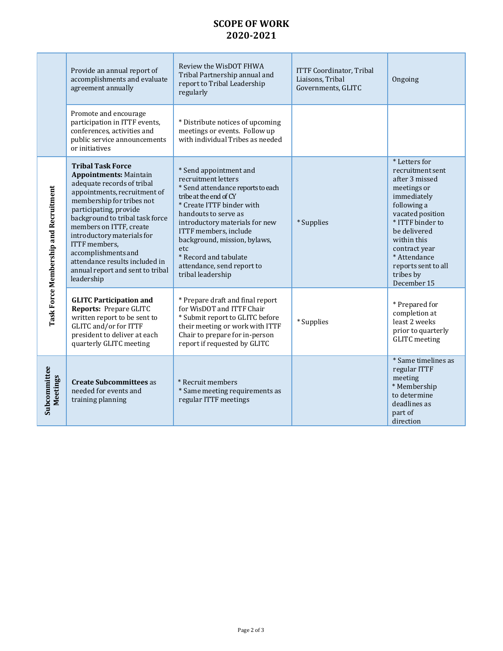## **SCOPE OF WORK 2020-2021**

|                                       | Provide an annual report of<br>accomplishments and evaluate<br>agreement annually                                                                                                                                                                                                                                                                                                                      | Review the WisDOT FHWA<br>Tribal Partnership annual and<br>report to Tribal Leadership<br>regularly                                                                                                                                                                                                                                             | <b>ITTF Coordinator, Tribal</b><br>Liaisons, Tribal<br>Governments, GLITC | Ongoing                                                                                                                                                                                                                                                     |
|---------------------------------------|--------------------------------------------------------------------------------------------------------------------------------------------------------------------------------------------------------------------------------------------------------------------------------------------------------------------------------------------------------------------------------------------------------|-------------------------------------------------------------------------------------------------------------------------------------------------------------------------------------------------------------------------------------------------------------------------------------------------------------------------------------------------|---------------------------------------------------------------------------|-------------------------------------------------------------------------------------------------------------------------------------------------------------------------------------------------------------------------------------------------------------|
|                                       | Promote and encourage<br>participation in ITTF events,<br>conferences, activities and<br>public service announcements<br>or initiatives                                                                                                                                                                                                                                                                | * Distribute notices of upcoming<br>meetings or events. Follow up<br>with individual Tribes as needed                                                                                                                                                                                                                                           |                                                                           |                                                                                                                                                                                                                                                             |
| Task Force Membership and Recruitment | <b>Tribal Task Force</b><br><b>Appointments: Maintain</b><br>adequate records of tribal<br>appointments, recruitment of<br>membership for tribes not<br>participating, provide<br>background to tribal task force<br>members on ITTF, create<br>introductory materials for<br>ITTF members,<br>accomplishments and<br>attendance results included in<br>annual report and sent to tribal<br>leadership | * Send appointment and<br>recruitment letters<br>* Send attendance reports to each<br>tribe at the end of CY<br>* Create ITTF binder with<br>handouts to serve as<br>introductory materials for new<br>ITTF members, include<br>background, mission, bylaws,<br>etc<br>* Record and tabulate<br>attendance, send report to<br>tribal leadership | * Supplies                                                                | * Letters for<br>recruitment sent<br>after 3 missed<br>meetings or<br>immediately<br>following a<br>vacated position<br>* ITTF binder to<br>be delivered<br>within this<br>contract year<br>* Attendance<br>reports sent to all<br>tribes by<br>December 15 |
|                                       | <b>GLITC Participation and</b><br><b>Reports: Prepare GLITC</b><br>written report to be sent to<br>GLITC and/or for ITTF<br>president to deliver at each<br>quarterly GLITC meeting                                                                                                                                                                                                                    | * Prepare draft and final report<br>for WisDOT and ITTF Chair<br>* Submit report to GLITC before<br>their meeting or work with ITTF<br>Chair to prepare for in-person<br>report if requested by GLITC                                                                                                                                           | * Supplies                                                                | * Prepared for<br>completion at<br>least 2 weeks<br>prior to quarterly<br><b>GLITC</b> meeting                                                                                                                                                              |
| Subcommittee<br><b>Meetings</b>       | <b>Create Subcommittees as</b><br>needed for events and<br>training planning                                                                                                                                                                                                                                                                                                                           | * Recruit members<br>* Same meeting requirements as<br>regular ITTF meetings                                                                                                                                                                                                                                                                    |                                                                           | * Same timelines as<br>regular ITTF<br>meeting<br>* Membership<br>to determine<br>deadlines as<br>part of<br>direction                                                                                                                                      |